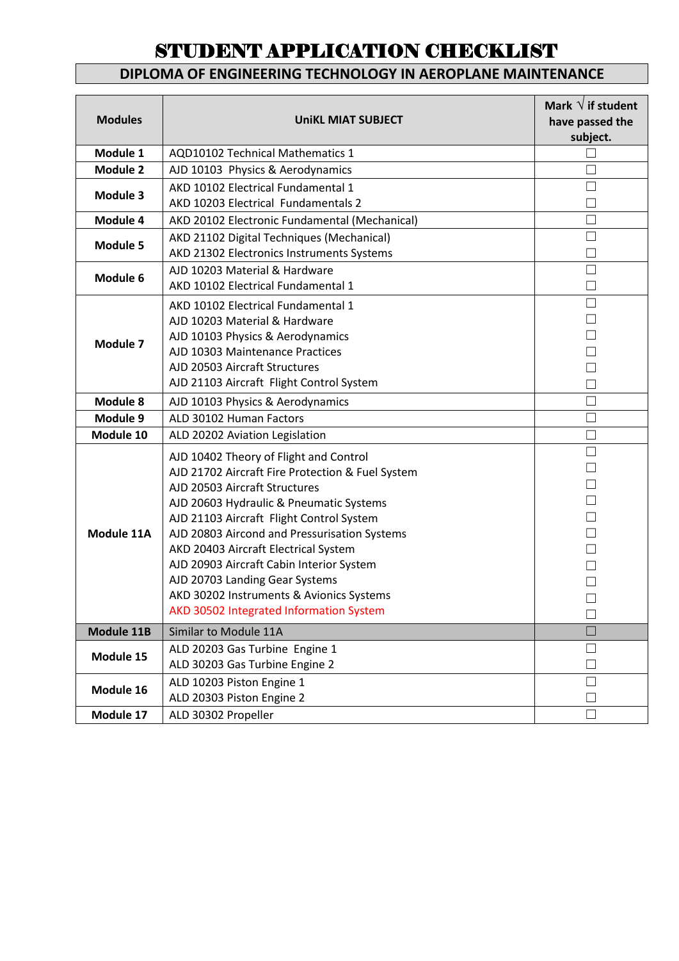### **DIPLOMA OF ENGINEERING TECHNOLOGY IN AEROPLANE MAINTENANCE**

| <b>Modules</b>  | <b>UniKL MIAT SUBJECT</b>                                                                                                                                                                                                                                                                                                                                                                                                                                                       | Mark $\sqrt{}$ if student<br>have passed the<br>subject. |
|-----------------|---------------------------------------------------------------------------------------------------------------------------------------------------------------------------------------------------------------------------------------------------------------------------------------------------------------------------------------------------------------------------------------------------------------------------------------------------------------------------------|----------------------------------------------------------|
| Module 1        | <b>AQD10102 Technical Mathematics 1</b>                                                                                                                                                                                                                                                                                                                                                                                                                                         |                                                          |
| Module 2        | AJD 10103 Physics & Aerodynamics                                                                                                                                                                                                                                                                                                                                                                                                                                                |                                                          |
| Module 3        | AKD 10102 Electrical Fundamental 1<br>AKD 10203 Electrical Fundamentals 2                                                                                                                                                                                                                                                                                                                                                                                                       |                                                          |
| Module 4        | AKD 20102 Electronic Fundamental (Mechanical)                                                                                                                                                                                                                                                                                                                                                                                                                                   |                                                          |
| <b>Module 5</b> | AKD 21102 Digital Techniques (Mechanical)<br>AKD 21302 Electronics Instruments Systems                                                                                                                                                                                                                                                                                                                                                                                          |                                                          |
| Module 6        | AJD 10203 Material & Hardware<br>AKD 10102 Electrical Fundamental 1                                                                                                                                                                                                                                                                                                                                                                                                             |                                                          |
| Module 7        | AKD 10102 Electrical Fundamental 1<br>AJD 10203 Material & Hardware<br>AJD 10103 Physics & Aerodynamics<br>AJD 10303 Maintenance Practices<br>AJD 20503 Aircraft Structures<br>AJD 21103 Aircraft Flight Control System                                                                                                                                                                                                                                                         |                                                          |
| Module 8        | AJD 10103 Physics & Aerodynamics                                                                                                                                                                                                                                                                                                                                                                                                                                                |                                                          |
| Module 9        | ALD 30102 Human Factors                                                                                                                                                                                                                                                                                                                                                                                                                                                         |                                                          |
| Module 10       | ALD 20202 Aviation Legislation                                                                                                                                                                                                                                                                                                                                                                                                                                                  | П                                                        |
| Module 11A      | AJD 10402 Theory of Flight and Control<br>AJD 21702 Aircraft Fire Protection & Fuel System<br>AJD 20503 Aircraft Structures<br>AJD 20603 Hydraulic & Pneumatic Systems<br>AJD 21103 Aircraft Flight Control System<br>AJD 20803 Aircond and Pressurisation Systems<br>AKD 20403 Aircraft Electrical System<br>AJD 20903 Aircraft Cabin Interior System<br>AJD 20703 Landing Gear Systems<br>AKD 30202 Instruments & Avionics Systems<br>AKD 30502 Integrated Information System | $\vert \ \ \vert$                                        |
| Module 11B      | Similar to Module 11A                                                                                                                                                                                                                                                                                                                                                                                                                                                           |                                                          |
| Module 15       | ALD 20203 Gas Turbine Engine 1<br>ALD 30203 Gas Turbine Engine 2                                                                                                                                                                                                                                                                                                                                                                                                                |                                                          |
| Module 16       | ALD 10203 Piston Engine 1<br>ALD 20303 Piston Engine 2                                                                                                                                                                                                                                                                                                                                                                                                                          |                                                          |
| Module 17       | ALD 30302 Propeller                                                                                                                                                                                                                                                                                                                                                                                                                                                             |                                                          |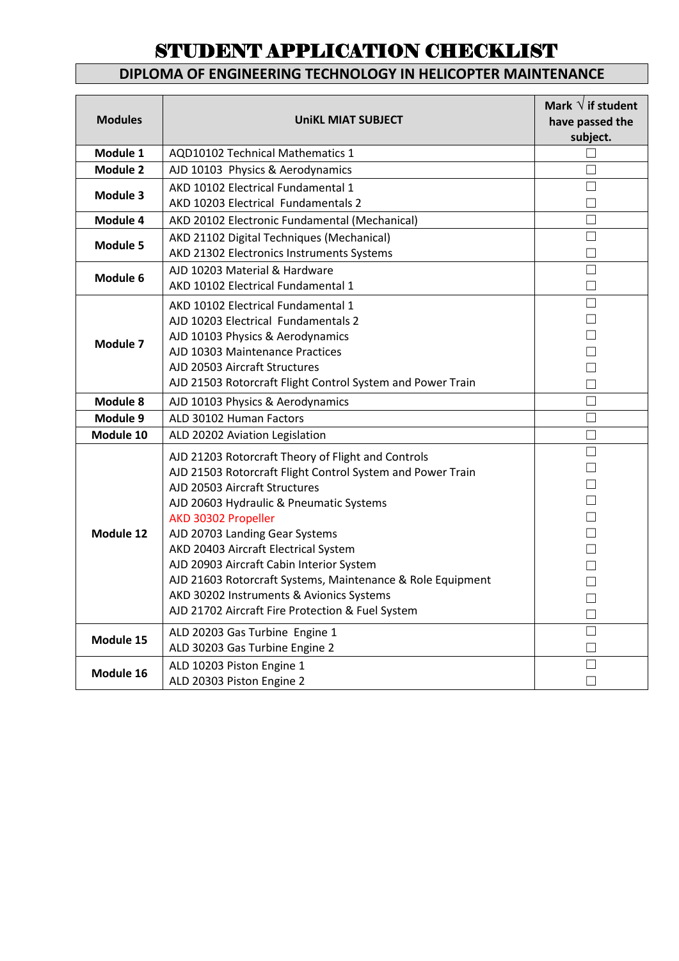### **DIPLOMA OF ENGINEERING TECHNOLOGY IN HELICOPTER MAINTENANCE**

| <b>Modules</b>  | <b>UniKL MIAT SUBJECT</b>                                  | Mark $\sqrt{}$ if student<br>have passed the<br>subject. |
|-----------------|------------------------------------------------------------|----------------------------------------------------------|
| Module 1        | <b>AQD10102 Technical Mathematics 1</b>                    |                                                          |
| <b>Module 2</b> | AJD 10103 Physics & Aerodynamics                           | П                                                        |
| Module 3        | AKD 10102 Electrical Fundamental 1                         |                                                          |
|                 | AKD 10203 Electrical Fundamentals 2                        |                                                          |
| Module 4        | AKD 20102 Electronic Fundamental (Mechanical)              | П                                                        |
| <b>Module 5</b> | AKD 21102 Digital Techniques (Mechanical)                  | $\Box$                                                   |
|                 | AKD 21302 Electronics Instruments Systems                  | П                                                        |
| Module 6        | AJD 10203 Material & Hardware                              |                                                          |
|                 | AKD 10102 Electrical Fundamental 1                         |                                                          |
|                 | AKD 10102 Electrical Fundamental 1                         | П                                                        |
|                 | AJD 10203 Electrical Fundamentals 2                        | П                                                        |
| Module 7        | AJD 10103 Physics & Aerodynamics                           |                                                          |
|                 | AJD 10303 Maintenance Practices                            |                                                          |
|                 | AJD 20503 Aircraft Structures                              |                                                          |
|                 | AJD 21503 Rotorcraft Flight Control System and Power Train |                                                          |
| Module 8        | AJD 10103 Physics & Aerodynamics                           | П                                                        |
| Module 9        | ALD 30102 Human Factors                                    | П                                                        |
| Module 10       | ALD 20202 Aviation Legislation                             | П                                                        |
|                 | AJD 21203 Rotorcraft Theory of Flight and Controls         | П                                                        |
|                 | AJD 21503 Rotorcraft Flight Control System and Power Train |                                                          |
|                 | AJD 20503 Aircraft Structures                              |                                                          |
|                 | AJD 20603 Hydraulic & Pneumatic Systems                    |                                                          |
|                 | AKD 30302 Propeller                                        |                                                          |
| Module 12       | AJD 20703 Landing Gear Systems                             |                                                          |
|                 | AKD 20403 Aircraft Electrical System                       |                                                          |
|                 | AJD 20903 Aircraft Cabin Interior System                   | П                                                        |
|                 | AJD 21603 Rotorcraft Systems, Maintenance & Role Equipment |                                                          |
|                 | AKD 30202 Instruments & Avionics Systems                   | П                                                        |
|                 | AJD 21702 Aircraft Fire Protection & Fuel System           | П                                                        |
| Module 15       | ALD 20203 Gas Turbine Engine 1                             |                                                          |
|                 | ALD 30203 Gas Turbine Engine 2                             |                                                          |
| Module 16       | ALD 10203 Piston Engine 1                                  |                                                          |
|                 | ALD 20303 Piston Engine 2                                  |                                                          |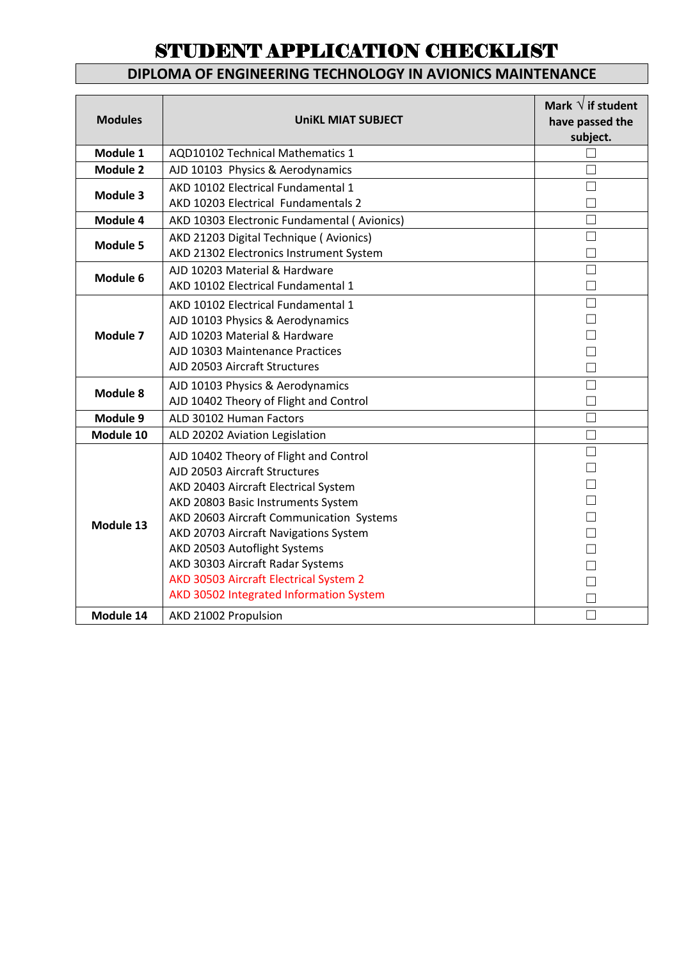#### **DIPLOMA OF ENGINEERING TECHNOLOGY IN AVIONICS MAINTENANCE**

| <b>Modules</b>  | <b>UniKL MIAT SUBJECT</b>                                                                                                                                                                                                                                                                                                                                                                           | Mark $\sqrt{}$ if student<br>have passed the<br>subject. |
|-----------------|-----------------------------------------------------------------------------------------------------------------------------------------------------------------------------------------------------------------------------------------------------------------------------------------------------------------------------------------------------------------------------------------------------|----------------------------------------------------------|
| Module 1        | <b>AQD10102 Technical Mathematics 1</b>                                                                                                                                                                                                                                                                                                                                                             |                                                          |
| <b>Module 2</b> | AJD 10103 Physics & Aerodynamics                                                                                                                                                                                                                                                                                                                                                                    |                                                          |
| Module 3        | AKD 10102 Electrical Fundamental 1<br>AKD 10203 Electrical Fundamentals 2                                                                                                                                                                                                                                                                                                                           |                                                          |
| Module 4        | AKD 10303 Electronic Fundamental (Avionics)                                                                                                                                                                                                                                                                                                                                                         |                                                          |
| <b>Module 5</b> | AKD 21203 Digital Technique (Avionics)<br>AKD 21302 Electronics Instrument System                                                                                                                                                                                                                                                                                                                   |                                                          |
| Module 6        | AJD 10203 Material & Hardware<br>AKD 10102 Electrical Fundamental 1                                                                                                                                                                                                                                                                                                                                 |                                                          |
| Module 7        | AKD 10102 Electrical Fundamental 1<br>AJD 10103 Physics & Aerodynamics<br>AJD 10203 Material & Hardware<br>AJD 10303 Maintenance Practices<br>AJD 20503 Aircraft Structures                                                                                                                                                                                                                         | П                                                        |
| Module 8        | AJD 10103 Physics & Aerodynamics<br>AJD 10402 Theory of Flight and Control                                                                                                                                                                                                                                                                                                                          |                                                          |
| Module 9        | ALD 30102 Human Factors                                                                                                                                                                                                                                                                                                                                                                             |                                                          |
| Module 10       | ALD 20202 Aviation Legislation                                                                                                                                                                                                                                                                                                                                                                      | $\Box$                                                   |
| Module 13       | AJD 10402 Theory of Flight and Control<br>AJD 20503 Aircraft Structures<br>AKD 20403 Aircraft Electrical System<br>AKD 20803 Basic Instruments System<br>AKD 20603 Aircraft Communication Systems<br>AKD 20703 Aircraft Navigations System<br>AKD 20503 Autoflight Systems<br>AKD 30303 Aircraft Radar Systems<br>AKD 30503 Aircraft Electrical System 2<br>AKD 30502 Integrated Information System | П                                                        |
| Module 14       | AKD 21002 Propulsion                                                                                                                                                                                                                                                                                                                                                                                |                                                          |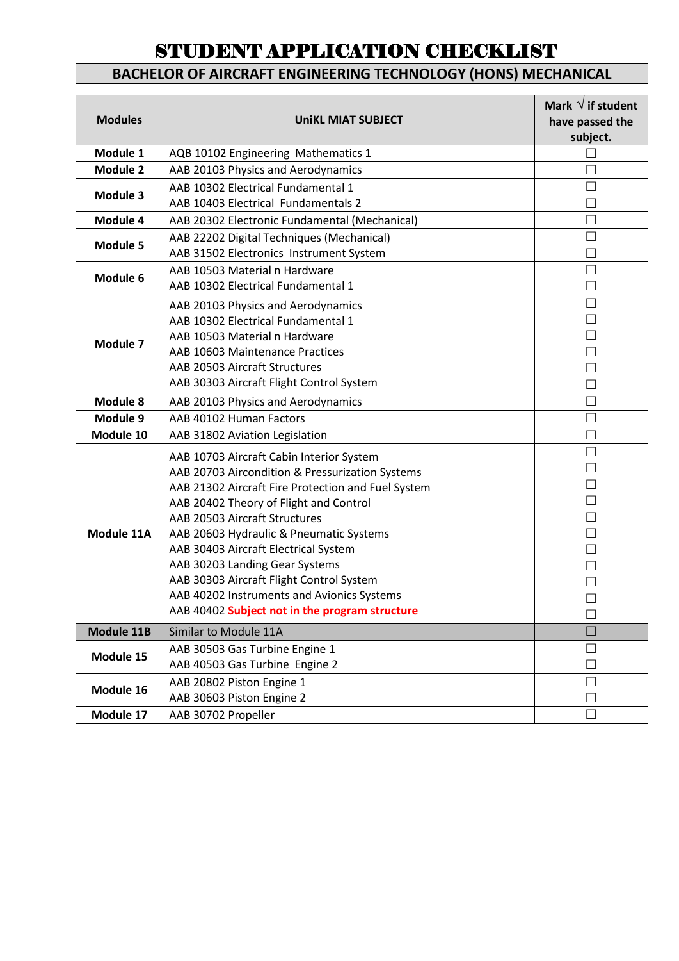### **BACHELOR OF AIRCRAFT ENGINEERING TECHNOLOGY (HONS) MECHANICAL**

| <b>Modules</b>  | <b>UniKL MIAT SUBJECT</b>                                                                                                                                                                                                                                                                                                                                                                                                                                                                     | Mark $\sqrt{}$ if student<br>have passed the<br>subject. |
|-----------------|-----------------------------------------------------------------------------------------------------------------------------------------------------------------------------------------------------------------------------------------------------------------------------------------------------------------------------------------------------------------------------------------------------------------------------------------------------------------------------------------------|----------------------------------------------------------|
| Module 1        | AQB 10102 Engineering Mathematics 1                                                                                                                                                                                                                                                                                                                                                                                                                                                           |                                                          |
| <b>Module 2</b> | AAB 20103 Physics and Aerodynamics                                                                                                                                                                                                                                                                                                                                                                                                                                                            |                                                          |
| Module 3        | AAB 10302 Electrical Fundamental 1<br>AAB 10403 Electrical Fundamentals 2                                                                                                                                                                                                                                                                                                                                                                                                                     |                                                          |
| Module 4        | AAB 20302 Electronic Fundamental (Mechanical)                                                                                                                                                                                                                                                                                                                                                                                                                                                 | □                                                        |
| <b>Module 5</b> | AAB 22202 Digital Techniques (Mechanical)<br>AAB 31502 Electronics Instrument System                                                                                                                                                                                                                                                                                                                                                                                                          |                                                          |
| Module 6        | AAB 10503 Material n Hardware<br>AAB 10302 Electrical Fundamental 1                                                                                                                                                                                                                                                                                                                                                                                                                           | П                                                        |
| Module 7        | AAB 20103 Physics and Aerodynamics<br>AAB 10302 Electrical Fundamental 1<br>AAB 10503 Material n Hardware<br>AAB 10603 Maintenance Practices<br>AAB 20503 Aircraft Structures<br>AAB 30303 Aircraft Flight Control System                                                                                                                                                                                                                                                                     | П                                                        |
| Module 8        | AAB 20103 Physics and Aerodynamics                                                                                                                                                                                                                                                                                                                                                                                                                                                            |                                                          |
| Module 9        | AAB 40102 Human Factors                                                                                                                                                                                                                                                                                                                                                                                                                                                                       |                                                          |
| Module 10       | AAB 31802 Aviation Legislation                                                                                                                                                                                                                                                                                                                                                                                                                                                                | П                                                        |
| Module 11A      | AAB 10703 Aircraft Cabin Interior System<br>AAB 20703 Aircondition & Pressurization Systems<br>AAB 21302 Aircraft Fire Protection and Fuel System<br>AAB 20402 Theory of Flight and Control<br>AAB 20503 Aircraft Structures<br>AAB 20603 Hydraulic & Pneumatic Systems<br>AAB 30403 Aircraft Electrical System<br>AAB 30203 Landing Gear Systems<br>AAB 30303 Aircraft Flight Control System<br>AAB 40202 Instruments and Avionics Systems<br>AAB 40402 Subject not in the program structure | $\Box$                                                   |
| Module 11B      | Similar to Module 11A                                                                                                                                                                                                                                                                                                                                                                                                                                                                         |                                                          |
| Module 15       | AAB 30503 Gas Turbine Engine 1<br>AAB 40503 Gas Turbine Engine 2                                                                                                                                                                                                                                                                                                                                                                                                                              |                                                          |
| Module 16       | AAB 20802 Piston Engine 1<br>AAB 30603 Piston Engine 2                                                                                                                                                                                                                                                                                                                                                                                                                                        |                                                          |
| Module 17       | AAB 30702 Propeller                                                                                                                                                                                                                                                                                                                                                                                                                                                                           |                                                          |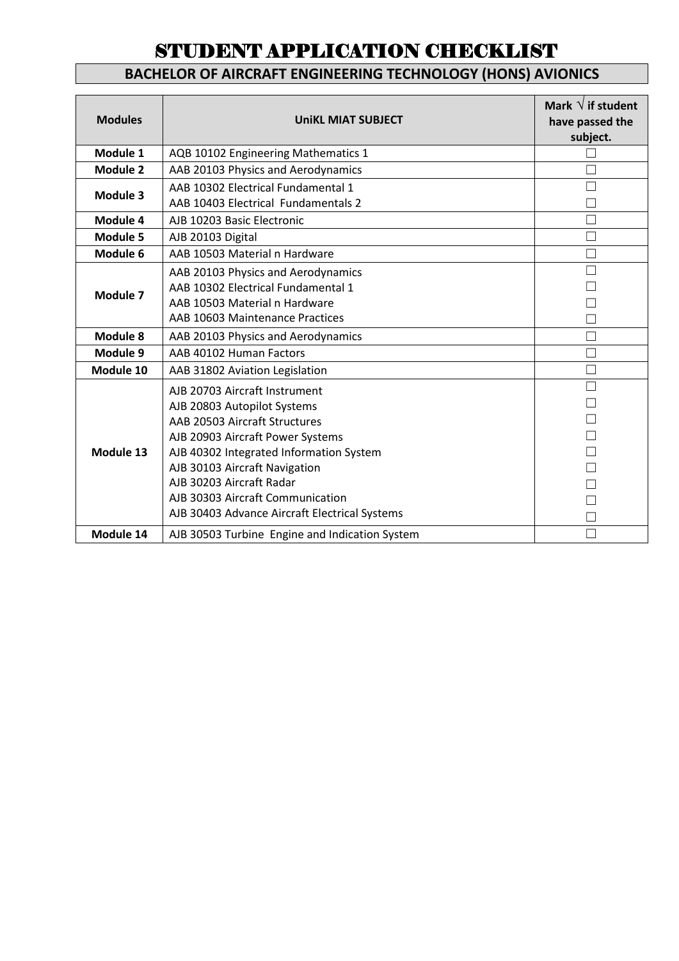### **BACHELOR OF AIRCRAFT ENGINEERING TECHNOLOGY (HONS) AVIONICS**

| <b>Modules</b>  | <b>UniKL MIAT SUBJECT</b>                                                                                                                                                                                                                                                                                                      | Mark $\sqrt{}$ if student<br>have passed the<br>subject. |
|-----------------|--------------------------------------------------------------------------------------------------------------------------------------------------------------------------------------------------------------------------------------------------------------------------------------------------------------------------------|----------------------------------------------------------|
| Module 1        | AQB 10102 Engineering Mathematics 1                                                                                                                                                                                                                                                                                            |                                                          |
| <b>Module 2</b> | AAB 20103 Physics and Aerodynamics                                                                                                                                                                                                                                                                                             |                                                          |
| Module 3        | AAB 10302 Electrical Fundamental 1<br>AAB 10403 Electrical Fundamentals 2                                                                                                                                                                                                                                                      |                                                          |
| Module 4        | AJB 10203 Basic Electronic                                                                                                                                                                                                                                                                                                     |                                                          |
| Module 5        | AJB 20103 Digital                                                                                                                                                                                                                                                                                                              |                                                          |
| Module 6        | AAB 10503 Material n Hardware                                                                                                                                                                                                                                                                                                  |                                                          |
| Module 7        | AAB 20103 Physics and Aerodynamics<br>AAB 10302 Electrical Fundamental 1<br>AAB 10503 Material n Hardware<br>AAB 10603 Maintenance Practices                                                                                                                                                                                   |                                                          |
| Module 8        | AAB 20103 Physics and Aerodynamics                                                                                                                                                                                                                                                                                             |                                                          |
| Module 9        | AAB 40102 Human Factors                                                                                                                                                                                                                                                                                                        |                                                          |
| Module 10       | AAB 31802 Aviation Legislation                                                                                                                                                                                                                                                                                                 |                                                          |
| Module 13       | AJB 20703 Aircraft Instrument<br>AJB 20803 Autopilot Systems<br>AAB 20503 Aircraft Structures<br>AJB 20903 Aircraft Power Systems<br>AJB 40302 Integrated Information System<br>AJB 30103 Aircraft Navigation<br>AJB 30203 Aircraft Radar<br>AJB 30303 Aircraft Communication<br>AJB 30403 Advance Aircraft Electrical Systems |                                                          |
| Module 14       | AJB 30503 Turbine Engine and Indication System                                                                                                                                                                                                                                                                                 |                                                          |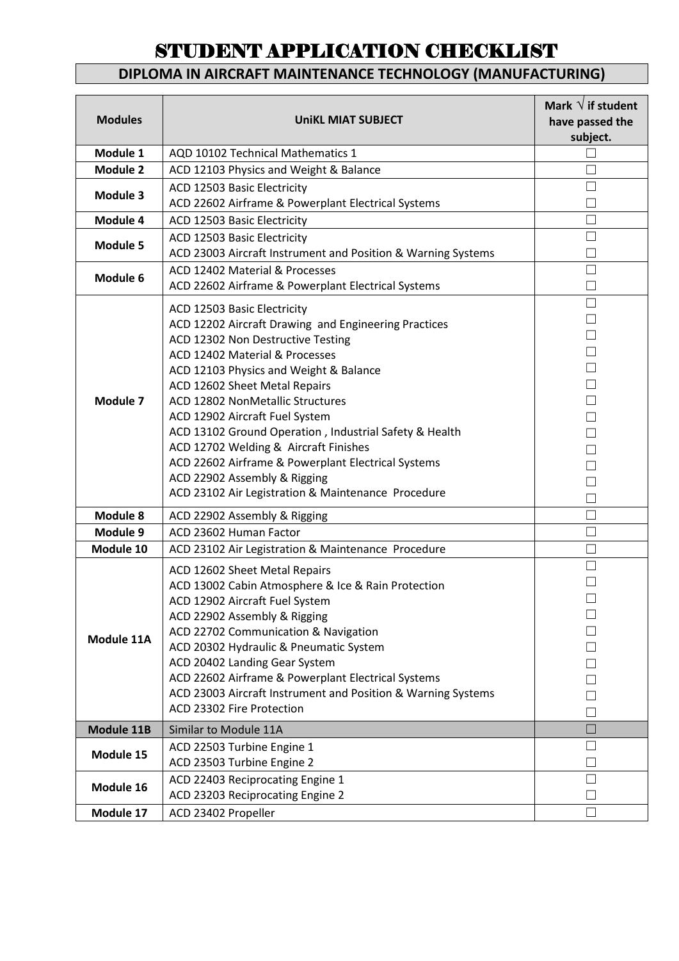### **DIPLOMA IN AIRCRAFT MAINTENANCE TECHNOLOGY (MANUFACTURING)**

| <b>Modules</b>  | <b>UniKL MIAT SUBJECT</b>                                                                                                                                                                                                                                                                                                                                                                                                                                                                                                                                         | Mark $\sqrt{}$ if student<br>have passed the<br>subject. |
|-----------------|-------------------------------------------------------------------------------------------------------------------------------------------------------------------------------------------------------------------------------------------------------------------------------------------------------------------------------------------------------------------------------------------------------------------------------------------------------------------------------------------------------------------------------------------------------------------|----------------------------------------------------------|
| Module 1        | AQD 10102 Technical Mathematics 1                                                                                                                                                                                                                                                                                                                                                                                                                                                                                                                                 |                                                          |
| <b>Module 2</b> | ACD 12103 Physics and Weight & Balance                                                                                                                                                                                                                                                                                                                                                                                                                                                                                                                            |                                                          |
| Module 3        | ACD 12503 Basic Electricity<br>ACD 22602 Airframe & Powerplant Electrical Systems                                                                                                                                                                                                                                                                                                                                                                                                                                                                                 |                                                          |
| Module 4        | ACD 12503 Basic Electricity                                                                                                                                                                                                                                                                                                                                                                                                                                                                                                                                       |                                                          |
| <b>Module 5</b> | ACD 12503 Basic Electricity<br>ACD 23003 Aircraft Instrument and Position & Warning Systems                                                                                                                                                                                                                                                                                                                                                                                                                                                                       |                                                          |
| Module 6        | ACD 12402 Material & Processes<br>ACD 22602 Airframe & Powerplant Electrical Systems                                                                                                                                                                                                                                                                                                                                                                                                                                                                              | П                                                        |
| Module 7        | ACD 12503 Basic Electricity<br>ACD 12202 Aircraft Drawing and Engineering Practices<br>ACD 12302 Non Destructive Testing<br>ACD 12402 Material & Processes<br>ACD 12103 Physics and Weight & Balance<br>ACD 12602 Sheet Metal Repairs<br><b>ACD 12802 NonMetallic Structures</b><br>ACD 12902 Aircraft Fuel System<br>ACD 13102 Ground Operation, Industrial Safety & Health<br>ACD 12702 Welding & Aircraft Finishes<br>ACD 22602 Airframe & Powerplant Electrical Systems<br>ACD 22902 Assembly & Rigging<br>ACD 23102 Air Legistration & Maintenance Procedure | П<br>П<br>П<br>$\Box$<br>П<br>$\Box$<br>П<br>$\Box$<br>П |
| Module 8        | ACD 22902 Assembly & Rigging                                                                                                                                                                                                                                                                                                                                                                                                                                                                                                                                      |                                                          |
| Module 9        | ACD 23602 Human Factor                                                                                                                                                                                                                                                                                                                                                                                                                                                                                                                                            |                                                          |
| Module 10       | ACD 23102 Air Legistration & Maintenance Procedure                                                                                                                                                                                                                                                                                                                                                                                                                                                                                                                |                                                          |
| Module 11A      | ACD 12602 Sheet Metal Repairs<br>ACD 13002 Cabin Atmosphere & Ice & Rain Protection<br>ACD 12902 Aircraft Fuel System<br>ACD 22902 Assembly & Rigging<br>ACD 22702 Communication & Navigation<br>ACD 20302 Hydraulic & Pneumatic System<br>ACD 20402 Landing Gear System<br>ACD 22602 Airframe & Powerplant Electrical Systems<br>ACD 23003 Aircraft Instrument and Position & Warning Systems<br>ACD 23302 Fire Protection                                                                                                                                       |                                                          |
| Module 11B      | Similar to Module 11A                                                                                                                                                                                                                                                                                                                                                                                                                                                                                                                                             |                                                          |
| Module 15       | ACD 22503 Turbine Engine 1<br>ACD 23503 Turbine Engine 2                                                                                                                                                                                                                                                                                                                                                                                                                                                                                                          |                                                          |
| Module 16       | ACD 22403 Reciprocating Engine 1<br>ACD 23203 Reciprocating Engine 2                                                                                                                                                                                                                                                                                                                                                                                                                                                                                              |                                                          |
| Module 17       | ACD 23402 Propeller                                                                                                                                                                                                                                                                                                                                                                                                                                                                                                                                               |                                                          |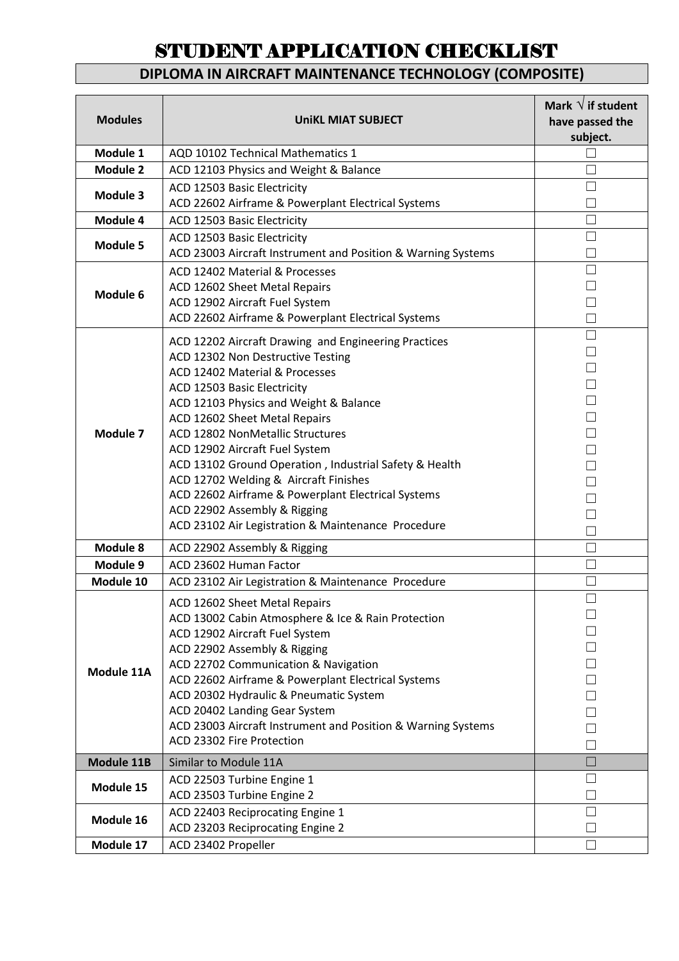### **DIPLOMA IN AIRCRAFT MAINTENANCE TECHNOLOGY (COMPOSITE)**

| <b>Modules</b>  | <b>UniKL MIAT SUBJECT</b>                                                                 | Mark $\sqrt{}$ if student<br>have passed the<br>subject. |
|-----------------|-------------------------------------------------------------------------------------------|----------------------------------------------------------|
| Module 1        | AQD 10102 Technical Mathematics 1                                                         |                                                          |
| <b>Module 2</b> | ACD 12103 Physics and Weight & Balance                                                    |                                                          |
| Module 3        | ACD 12503 Basic Electricity                                                               | $\mathcal{L}$                                            |
|                 | ACD 22602 Airframe & Powerplant Electrical Systems                                        |                                                          |
| Module 4        | ACD 12503 Basic Electricity                                                               |                                                          |
| <b>Module 5</b> | ACD 12503 Basic Electricity                                                               |                                                          |
|                 | ACD 23003 Aircraft Instrument and Position & Warning Systems                              |                                                          |
|                 | ACD 12402 Material & Processes                                                            | П                                                        |
| Module 6        | ACD 12602 Sheet Metal Repairs                                                             |                                                          |
|                 | ACD 12902 Aircraft Fuel System                                                            |                                                          |
|                 | ACD 22602 Airframe & Powerplant Electrical Systems                                        |                                                          |
|                 | ACD 12202 Aircraft Drawing and Engineering Practices                                      | П                                                        |
|                 | ACD 12302 Non Destructive Testing                                                         | $\Box$<br>П                                              |
|                 | ACD 12402 Material & Processes                                                            | П                                                        |
|                 | ACD 12503 Basic Electricity                                                               | П                                                        |
|                 | ACD 12103 Physics and Weight & Balance                                                    | П                                                        |
| Module 7        | ACD 12602 Sheet Metal Repairs<br>ACD 12802 NonMetallic Structures                         | $\Box$                                                   |
|                 | ACD 12902 Aircraft Fuel System                                                            |                                                          |
|                 | ACD 13102 Ground Operation, Industrial Safety & Health                                    | П                                                        |
|                 | ACD 12702 Welding & Aircraft Finishes                                                     |                                                          |
|                 | ACD 22602 Airframe & Powerplant Electrical Systems                                        |                                                          |
|                 | ACD 22902 Assembly & Rigging                                                              |                                                          |
|                 | ACD 23102 Air Legistration & Maintenance Procedure                                        |                                                          |
| Module 8        | ACD 22902 Assembly & Rigging                                                              | $\mathcal{L}$                                            |
| Module 9        | ACD 23602 Human Factor                                                                    | Π                                                        |
| Module 10       | ACD 23102 Air Legistration & Maintenance Procedure                                        |                                                          |
|                 | ACD 12602 Sheet Metal Repairs                                                             | $\Box$                                                   |
|                 | ACD 13002 Cabin Atmosphere & Ice & Rain Protection                                        |                                                          |
|                 | ACD 12902 Aircraft Fuel System                                                            |                                                          |
|                 | ACD 22902 Assembly & Rigging                                                              |                                                          |
| Module 11A      | ACD 22702 Communication & Navigation                                                      |                                                          |
|                 | ACD 22602 Airframe & Powerplant Electrical Systems                                        |                                                          |
|                 | ACD 20302 Hydraulic & Pneumatic System                                                    |                                                          |
|                 | ACD 20402 Landing Gear System                                                             |                                                          |
|                 | ACD 23003 Aircraft Instrument and Position & Warning Systems<br>ACD 23302 Fire Protection |                                                          |
|                 |                                                                                           |                                                          |
| Module 11B      | Similar to Module 11A                                                                     |                                                          |
| Module 15       | ACD 22503 Turbine Engine 1<br>ACD 23503 Turbine Engine 2                                  |                                                          |
|                 | ACD 22403 Reciprocating Engine 1                                                          |                                                          |
| Module 16       | ACD 23203 Reciprocating Engine 2                                                          |                                                          |
| Module 17       | ACD 23402 Propeller                                                                       |                                                          |
|                 |                                                                                           |                                                          |